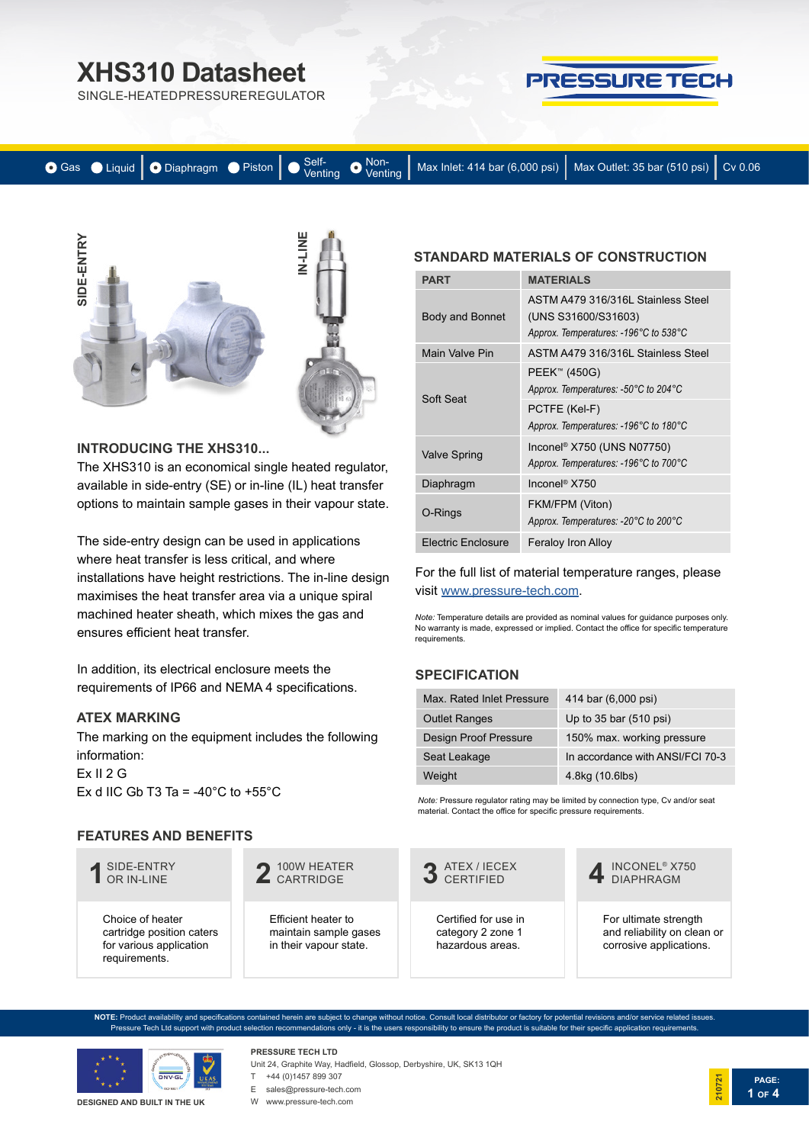## **XHS310 Datasheet**

SINGLE-HEATED PRESSURE REGULATOR



|  |  |  |  |  | ● Gas ● Liquid   ● Diaphragm ● Piston   ● Self-<br>Venting ● Max Inlet: 414 bar (6,000 psi)   Max Outlet: 35 bar (510 psi)   Cv 0.06 |  |  |
|--|--|--|--|--|--------------------------------------------------------------------------------------------------------------------------------------|--|--|
|--|--|--|--|--|--------------------------------------------------------------------------------------------------------------------------------------|--|--|



#### **INTRODUCING THE XHS310...**

The XHS310 is an economical single heated regulator, available in side-entry (SE) or in-line (IL) heat transfer options to maintain sample gases in their vapour state.

The side-entry design can be used in applications where heat transfer is less critical, and where installations have height restrictions. The in-line design maximises the heat transfer area via a unique spiral machined heater sheath, which mixes the gas and ensures efficient heat transfer.

In addition, its electrical enclosure meets the requirements of IP66 and NEMA 4 specifications.

#### **ATEX MARKING**

The marking on the equipment includes the following information: Ex II 2 G

Ex d IIC Gb T3 Ta = -40 $^{\circ}$ C to +55 $^{\circ}$ C

### **FEATURES AND BENEFITS**



Choice of heater cartridge position caters for various application requirements.

100W HEATER **2** CARTRIDGE

Efficient heater to maintain sample gases in their vapour state.

## **STANDARD MATERIALS OF CONSTRUCTION**

| <b>PART</b>               | <b>MATERIALS</b>                                                                                   |
|---------------------------|----------------------------------------------------------------------------------------------------|
| <b>Body and Bonnet</b>    | ASTM A479 316/316L Stainless Steel<br>(UNS S31600/S31603)<br>Approx. Temperatures: -196°C to 538°C |
| Main Valve Pin            | ASTM A479 316/316L Stainless Steel                                                                 |
| Soft Seat                 | PEEK™ (450G)<br>Approx. Temperatures: -50°C to 204°C                                               |
|                           | PCTFE (Kel-F)<br>Approx. Temperatures: -196°C to 180°C                                             |
| <b>Valve Spring</b>       | Inconel <sup>®</sup> X750 (UNS N07750)<br>Approx. Temperatures: -196°C to 700°C                    |
| Diaphragm                 | Inconel <sup>®</sup> X750                                                                          |
| O-Rings                   | FKM/FPM (Viton)<br>Approx. Temperatures: -20°C to 200°C                                            |
| <b>Electric Enclosure</b> | <b>Feraloy Iron Alloy</b>                                                                          |

For the full list of material temperature ranges, please visit [www.pressure-tech.com](http://www.pressure-tech.com/resources/49/material temperature range guide.pdf).

*Note:* Temperature details are provided as nominal values for guidance purposes only. No warranty is made, expressed or implied. Contact the office for specific temperature requirements.

### **SPECIFICATION**

| Max. Rated Inlet Pressure    | 414 bar (6,000 psi)              |
|------------------------------|----------------------------------|
| <b>Outlet Ranges</b>         | Up to $35$ bar $(510$ psi)       |
| <b>Design Proof Pressure</b> | 150% max. working pressure       |
| Seat Leakage                 | In accordance with ANSI/FCI 70-3 |
| Weight                       | 4.8kg (10.6lbs)                  |

*Note:* Pressure regulator rating may be limited by connection type, Cv and/or seat material. Contact the office for specific pressure requirements.



INCONEL® X750 **4** DIAPHRAGM

For ultimate strength and reliability on clean or corrosive applications.

**PAGE:**

**1 OF 4**

**210721**

**NOTE:** Product availability and specifications contained herein are subject to change without notice. Consult local distributor or factory for potential revisions and/or service related issues. Pressure Tech Ltd support with product selection recommendations only - it is the users responsibility to ensure the product is suitable for their specific application requirements.



**DESIGNED AND BUILT IN THE UK**

Unit 24, Graphite Way, Hadfield, Glossop, Derbyshire, UK, SK13 1QH E sales@pressure-tech.com

**PRESSURE TECH LTD** T +44 (0)1457 899 307

W www.pressure-tech.com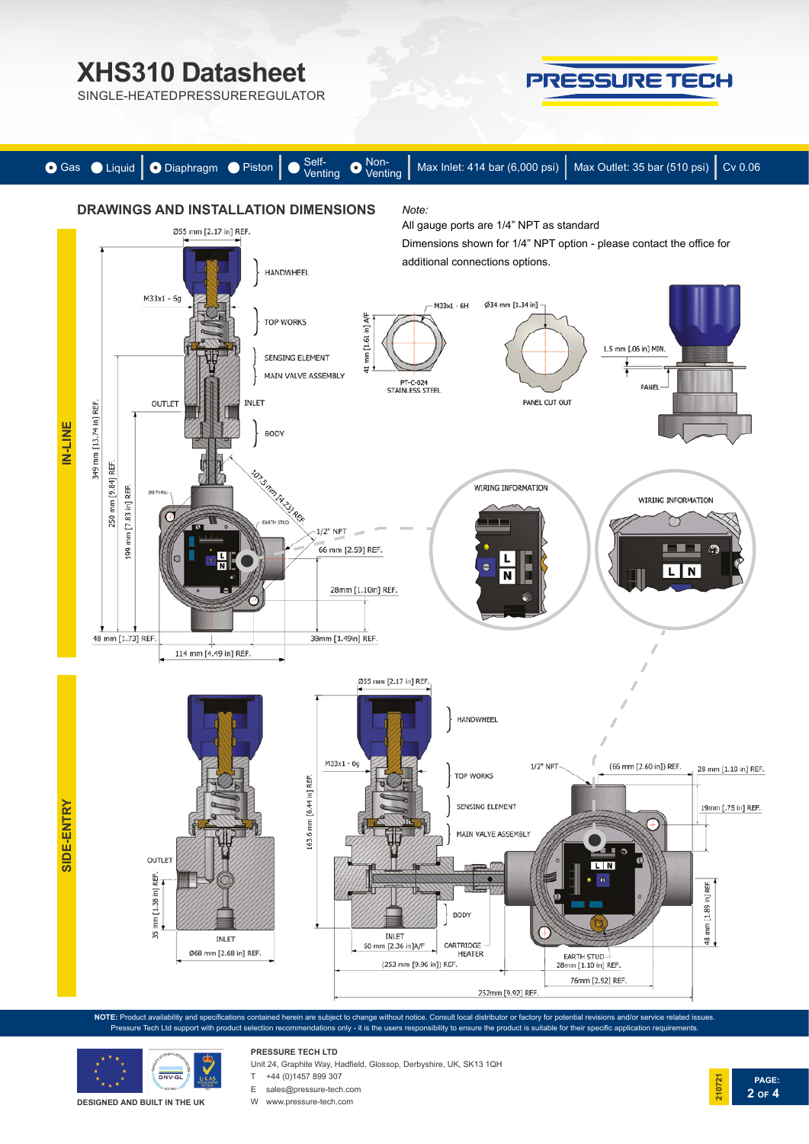# **XHS310 Datasheet**

SINGLE-HEATED PRESSURE REGULATOR





**NOTE:** Product availability and specifications contained herein are subject to change without notice. Consult local distributor or factory for potential revisions and/or service related issues. Pressure Tech Ltd support with product selection recommendations only - it is the users responsibility to ensure the product is suitable for their specific application requirements.



**DESIGNED AND BUILT IN THE UK**

**PRESSURE TECH LTD** Unit 24, Graphite Way, Hadfield, Glossop, Derbyshire, UK, SK13 1QH

 $T +44 (0)1457 899 307$ 

E sales@pressure-tech.com

W www.pressure-tech.com

**PAGE: 21072 2 OF 4**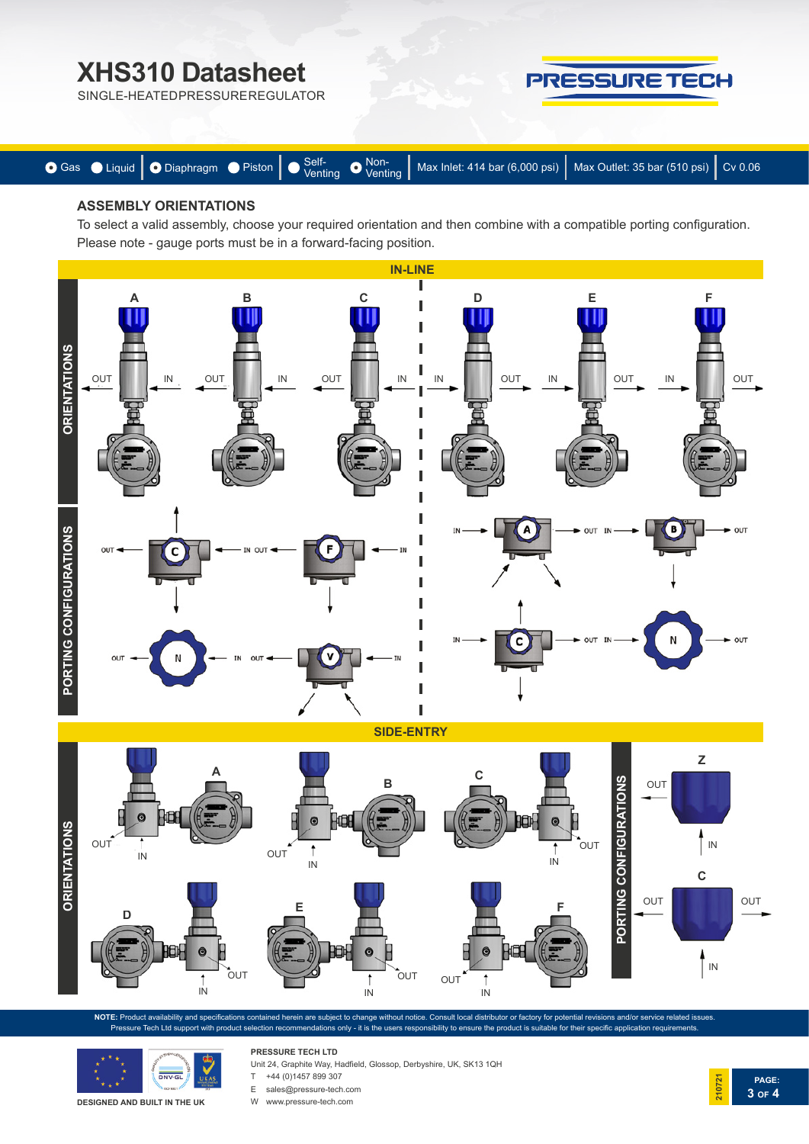## **XHS310 Datasheet**

PRESSURE TECH





### **ASSEMBLY ORIENTATIONS**

To select a valid assembly, choose your required orientation and then combine with a compatible porting configuration. Please note - gauge ports must be in a forward-facing position.



**SIDE-ENTRY**



**NOTE:** Product availability and specifications contained herein are subject to change without notice. Consult local distributor or factory for potential revisions and/or service related issues. Pressure Tech Ltd support with product selection recommendations only - it is the users responsibility to ensure the product is suitable for their specific application requiren



**PRESSURE TECH LTD** Unit 24, Graphite Way, Hadfield, Glossop, Derbyshire, UK, SK13 1QH

T +44 (0)1457 899 307

E sales@pressure-tech.com

W www.pressure-tech.com